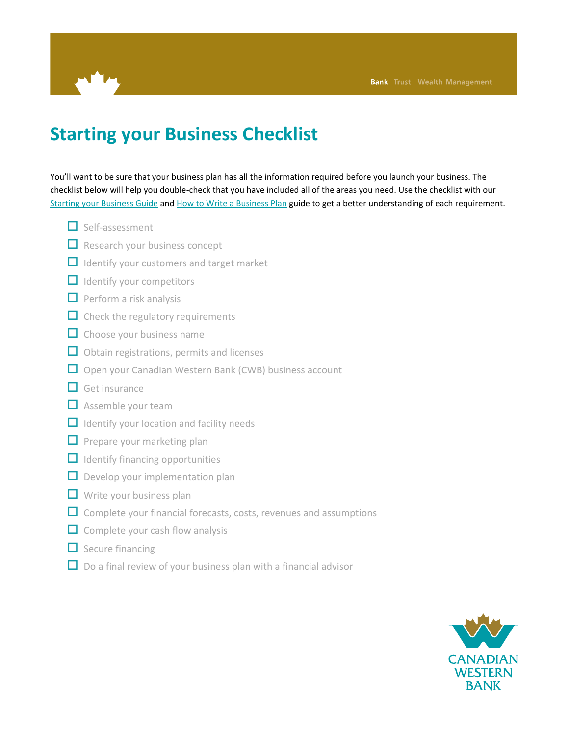

## **Starting your Business Checklist**

You'll want to be sure that your business plan has all the information required before you launch your business. The checklist below will help you double-check that you have included all of the areas you need. Use the checklist with our [Starting your Business Guide](http://cwbank.cwb.local/~/media/cwb/documents/starting%20your%20business%20guide.ashx) and [How to Write a Business Plan](http://cwbank.cwb.local/~/media/cwb/documents/how%20to%20write%20a%20business%20plan.ashx) guide to get a better understanding of each requirement.

- $\Box$  Self-assessment
- $\Box$  Research your business concept
- $\Box$  Identify your customers and target market
- $\Box$  Identify your competitors
- $\Box$  Perform a risk analysis
- $\Box$  Check the regulatory requirements
- $\Box$  Choose your business name
- $\Box$  Obtain registrations, permits and licenses
- $\Box$  Open your Canadian Western Bank (CWB) business account
- $\Box$  Get insurance
- $\Box$  Assemble your team
- $\Box$  Identify your location and facility needs
- $\Box$  Prepare your marketing plan
- $\Box$  Identify financing opportunities
- $\Box$  Develop your implementation plan
- $\Box$  Write your business plan
- $\Box$  Complete your financial forecasts, costs, revenues and assumptions
- $\Box$  Complete your cash flow analysis
- $\Box$  Secure financing
- $\Box$  Do a final review of your business plan with a financial advisor